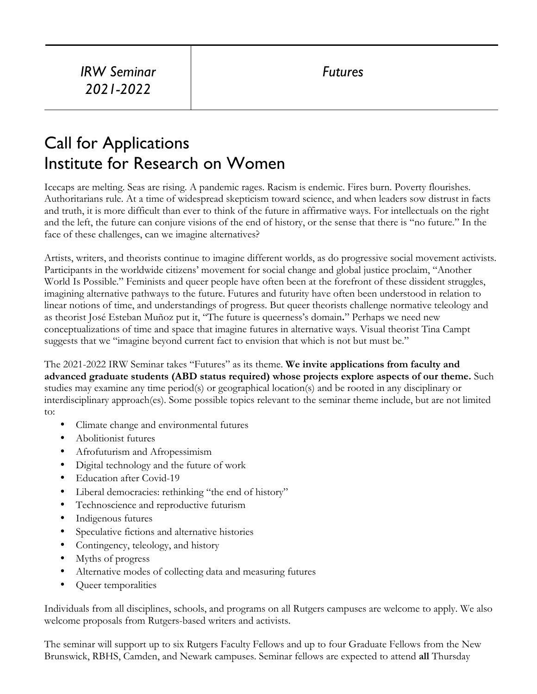## Call for Applications Institute for Research on Women

Icecaps are melting. Seas are rising. A pandemic rages. Racism is endemic. Fires burn. Poverty flourishes. Authoritarians rule. At a time of widespread skepticism toward science, and when leaders sow distrust in facts and truth, it is more difficult than ever to think of the future in affirmative ways. For intellectuals on the right and the left, the future can conjure visions of the end of history, or the sense that there is "no future." In the face of these challenges, can we imagine alternatives?

Artists, writers, and theorists continue to imagine different worlds, as do progressive social movement activists. Participants in the worldwide citizens' movement for social change and global justice proclaim, "Another World Is Possible." Feminists and queer people have often been at the forefront of these dissident struggles, imagining alternative pathways to the future. Futures and futurity have often been understood in relation to linear notions of time, and understandings of progress. But queer theorists challenge normative teleology and as theorist José Esteban Muñoz put it, "The future is queerness's domain**.**" Perhaps we need new conceptualizations of time and space that imagine futures in alternative ways. Visual theorist Tina Campt suggests that we "imagine beyond current fact to envision that which is not but must be."

The 2021-2022 IRW Seminar takes "Futures" as its theme. **We invite applications from faculty and advanced graduate students (ABD status required) whose projects explore aspects of our theme.** Such studies may examine any time period(s) or geographical location(s) and be rooted in any disciplinary or interdisciplinary approach(es). Some possible topics relevant to the seminar theme include, but are not limited to:

- Climate change and environmental futures
- Abolitionist futures
- Afrofuturism and Afropessimism
- Digital technology and the future of work
- Education after Covid-19
- Liberal democracies: rethinking "the end of history"
- Technoscience and reproductive futurism
- Indigenous futures
- Speculative fictions and alternative histories
- Contingency, teleology, and history
- Myths of progress
- Alternative modes of collecting data and measuring futures
- Queer temporalities

Individuals from all disciplines, schools, and programs on all Rutgers campuses are welcome to apply. We also welcome proposals from Rutgers-based writers and activists.

The seminar will support up to six Rutgers Faculty Fellows and up to four Graduate Fellows from the New Brunswick, RBHS, Camden, and Newark campuses. Seminar fellows are expected to attend **all** Thursday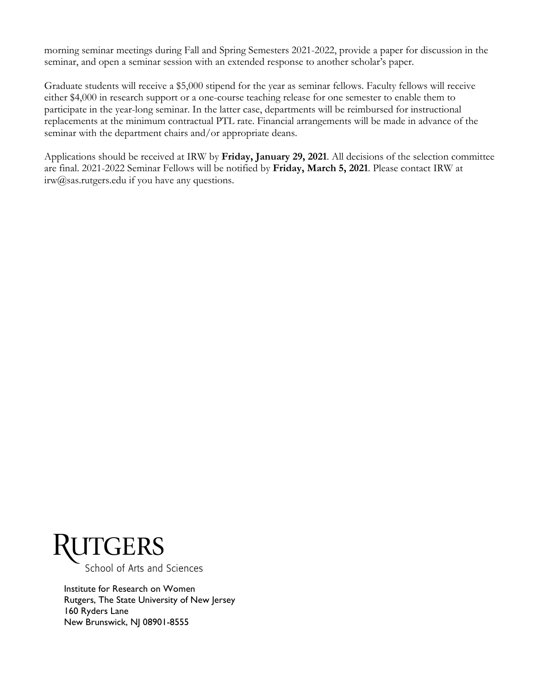morning seminar meetings during Fall and Spring Semesters 2021-2022, provide a paper for discussion in the seminar, and open a seminar session with an extended response to another scholar's paper.

Graduate students will receive a \$5,000 stipend for the year as seminar fellows. Faculty fellows will receive either \$4,000 in research support or a one-course teaching release for one semester to enable them to participate in the year-long seminar. In the latter case, departments will be reimbursed for instructional replacements at the minimum contractual PTL rate. Financial arrangements will be made in advance of the seminar with the department chairs and/or appropriate deans.

Applications should be received at IRW by **Friday, January 29, 2021**. All decisions of the selection committee are final. 2021-2022 Seminar Fellows will be notified by **Friday, March 5, 2021**. Please contact IRW at  $irw@sas.rutgers.edu if you have any questions.$ 



School of Arts and Sciences

Institute for Research on Women Rutgers, The State University of New Jersey 160 Ryders Lane New Brunswick, NJ 08901-8555